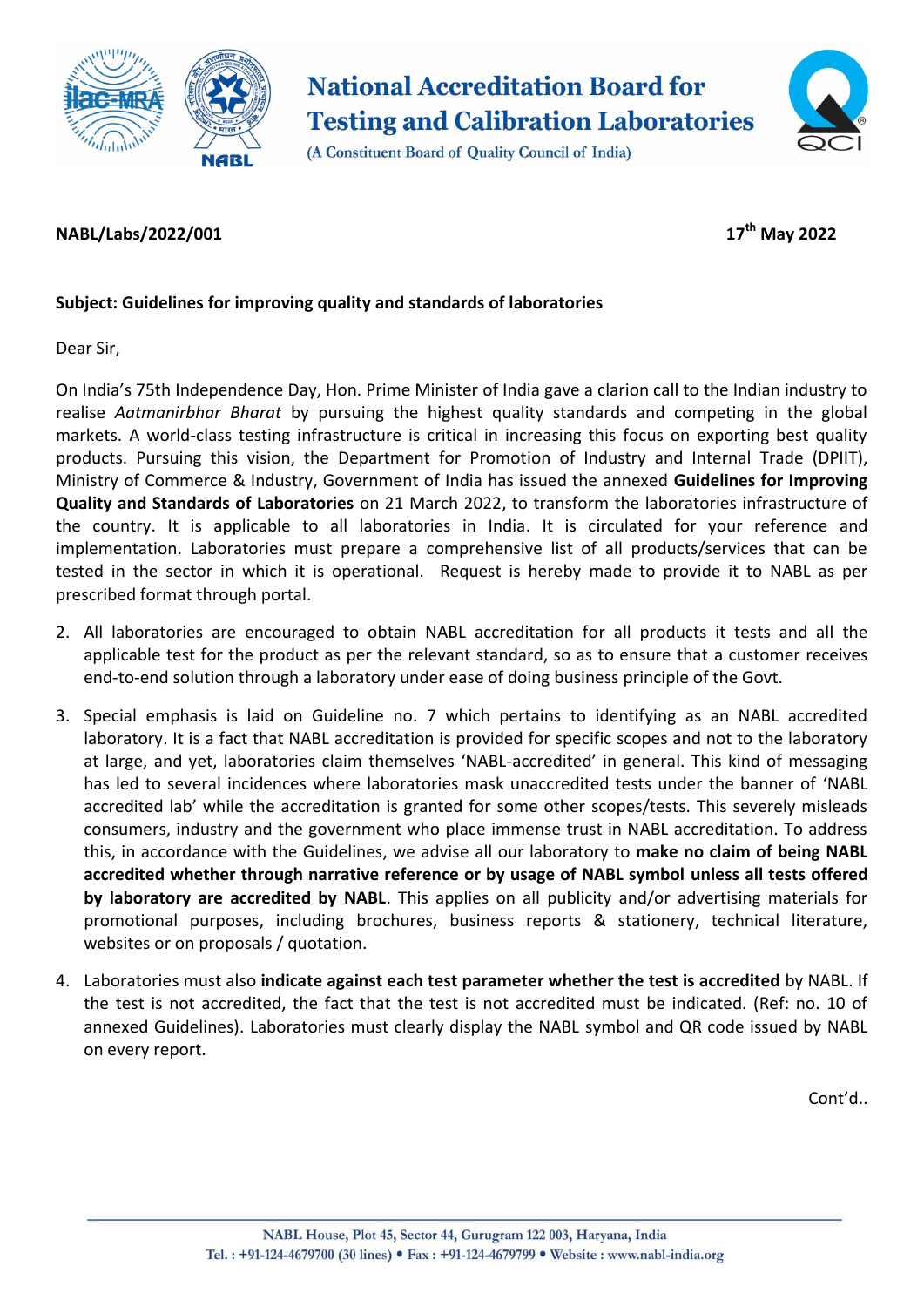

**National Accreditation Board for Testing and Calibration Laboratories** 



(A Constituent Board of Quality Council of India)

## **NABL/Labs/2022/001 17th May 2022**

## **Subject: Guidelines for improving quality and standards of laboratories**

Dear Sir,

On India's 75th Independence Day, Hon. Prime Minister of India gave a clarion call to the Indian industry to realise *Aatmanirbhar Bharat* by pursuing the highest quality standards and competing in the global markets. A world-class testing infrastructure is critical in increasing this focus on exporting best quality products. Pursuing this vision, the Department for Promotion of Industry and Internal Trade (DPIIT), Ministry of Commerce & Industry, Government of India has issued the annexed **Guidelines for Improving Quality and Standards of Laboratories** on 21 March 2022, to transform the laboratories infrastructure of the country. It is applicable to all laboratories in India. It is circulated for your reference and implementation. Laboratories must prepare a comprehensive list of all products/services that can be tested in the sector in which it is operational. Request is hereby made to provide it to NABL as per prescribed format through portal.

- 2. All laboratories are encouraged to obtain NABL accreditation for all products it tests and all the applicable test for the product as per the relevant standard, so as to ensure that a customer receives end-to-end solution through a laboratory under ease of doing business principle of the Govt.
- 3. Special emphasis is laid on Guideline no. 7 which pertains to identifying as an NABL accredited laboratory. It is a fact that NABL accreditation is provided for specific scopes and not to the laboratory at large, and yet, laboratories claim themselves 'NABL-accredited' in general. This kind of messaging has led to several incidences where laboratories mask unaccredited tests under the banner of 'NABL accredited lab' while the accreditation is granted for some other scopes/tests. This severely misleads consumers, industry and the government who place immense trust in NABL accreditation. To address this, in accordance with the Guidelines, we advise all our laboratory to **make no claim of being NABL accredited whether through narrative reference or by usage of NABL symbol unless all tests offered by laboratory are accredited by NABL**. This applies on all publicity and/or advertising materials for promotional purposes, including brochures, business reports & stationery, technical literature, websites or on proposals / quotation.
- 4. Laboratories must also **indicate against each test parameter whether the test is accredited** by NABL. If the test is not accredited, the fact that the test is not accredited must be indicated. (Ref: no. 10 of annexed Guidelines). Laboratories must clearly display the NABL symbol and QR code issued by NABL on every report.

Cont'd..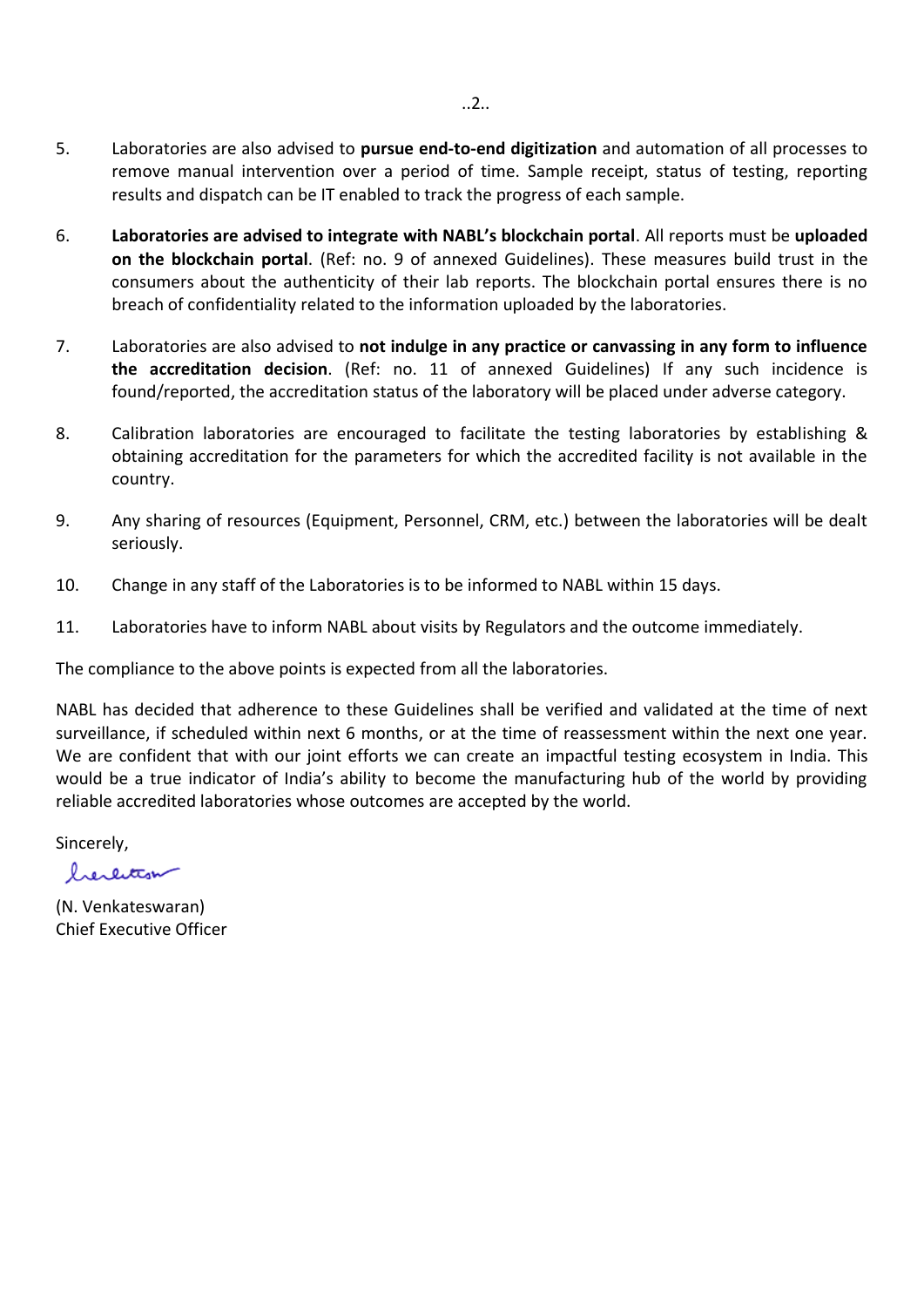- 5. Laboratories are also advised to **pursue end-to-end digitization** and automation of all processes to remove manual intervention over a period of time. Sample receipt, status of testing, reporting results and dispatch can be IT enabled to track the progress of each sample.
- 6. **Laboratories are advised to integrate with NABL's blockchain portal**. All reports must be **uploaded on the blockchain portal**. (Ref: no. 9 of annexed Guidelines). These measures build trust in the consumers about the authenticity of their lab reports. The blockchain portal ensures there is no breach of confidentiality related to the information uploaded by the laboratories.
- 7. Laboratories are also advised to **not indulge in any practice or canvassing in any form to influence the accreditation decision**. (Ref: no. 11 of annexed Guidelines) If any such incidence is found/reported, the accreditation status of the laboratory will be placed under adverse category.
- 8. Calibration laboratories are encouraged to facilitate the testing laboratories by establishing & obtaining accreditation for the parameters for which the accredited facility is not available in the country.
- 9. Any sharing of resources (Equipment, Personnel, CRM, etc.) between the laboratories will be dealt seriously.
- 10. Change in any staff of the Laboratories is to be informed to NABL within 15 days.
- 11. Laboratories have to inform NABL about visits by Regulators and the outcome immediately.

The compliance to the above points is expected from all the laboratories.

NABL has decided that adherence to these Guidelines shall be verified and validated at the time of next surveillance, if scheduled within next 6 months, or at the time of reassessment within the next one year. We are confident that with our joint efforts we can create an impactful testing ecosystem in India. This would be a true indicator of India's ability to become the manufacturing hub of the world by providing reliable accredited laboratories whose outcomes are accepted by the world.

Sincerely,

herentism

(N. Venkateswaran) Chief Executive Officer